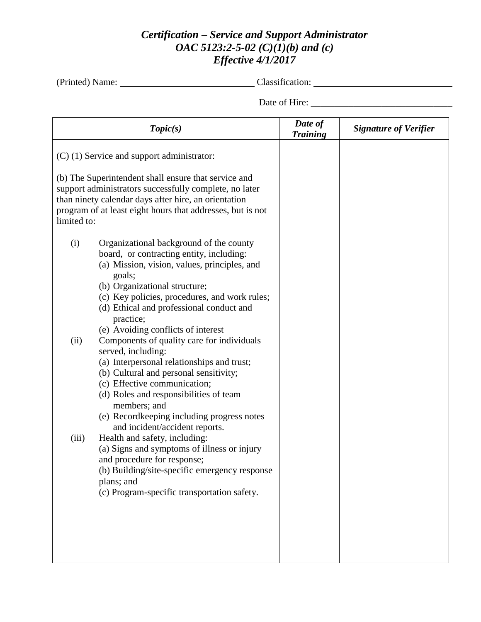## *Certification – Service and Support Administrator OAC 5123:2-5-02 (C)(1)(b) and (c) Effective 4/1/2017*

(Printed) Name: Classification: Classification:

Date of Hire: \_\_\_\_\_\_\_\_\_\_\_\_\_\_\_\_\_\_\_\_\_\_\_\_\_\_\_\_\_\_

| Topic(s)                                                                                                                                                                                                                                                                                            |                                                                                                                                                                                                                                                                                                                                    | Date of<br><b>Training</b> | <b>Signature of Verifier</b> |
|-----------------------------------------------------------------------------------------------------------------------------------------------------------------------------------------------------------------------------------------------------------------------------------------------------|------------------------------------------------------------------------------------------------------------------------------------------------------------------------------------------------------------------------------------------------------------------------------------------------------------------------------------|----------------------------|------------------------------|
| $(C)$ (1) Service and support administrator:<br>(b) The Superintendent shall ensure that service and<br>support administrators successfully complete, no later<br>than ninety calendar days after hire, an orientation<br>program of at least eight hours that addresses, but is not<br>limited to: |                                                                                                                                                                                                                                                                                                                                    |                            |                              |
| (i)                                                                                                                                                                                                                                                                                                 | Organizational background of the county<br>board, or contracting entity, including:<br>(a) Mission, vision, values, principles, and<br>goals;<br>(b) Organizational structure;<br>(c) Key policies, procedures, and work rules;<br>(d) Ethical and professional conduct and<br>practice;<br>(e) Avoiding conflicts of interest     |                            |                              |
| (ii)                                                                                                                                                                                                                                                                                                | Components of quality care for individuals<br>served, including:<br>(a) Interpersonal relationships and trust;<br>(b) Cultural and personal sensitivity;<br>(c) Effective communication;<br>(d) Roles and responsibilities of team<br>members; and<br>(e) Recordkeeping including progress notes<br>and incident/accident reports. |                            |                              |
| (iii)                                                                                                                                                                                                                                                                                               | Health and safety, including:<br>(a) Signs and symptoms of illness or injury<br>and procedure for response;<br>(b) Building/site-specific emergency response<br>plans; and<br>(c) Program-specific transportation safety.                                                                                                          |                            |                              |